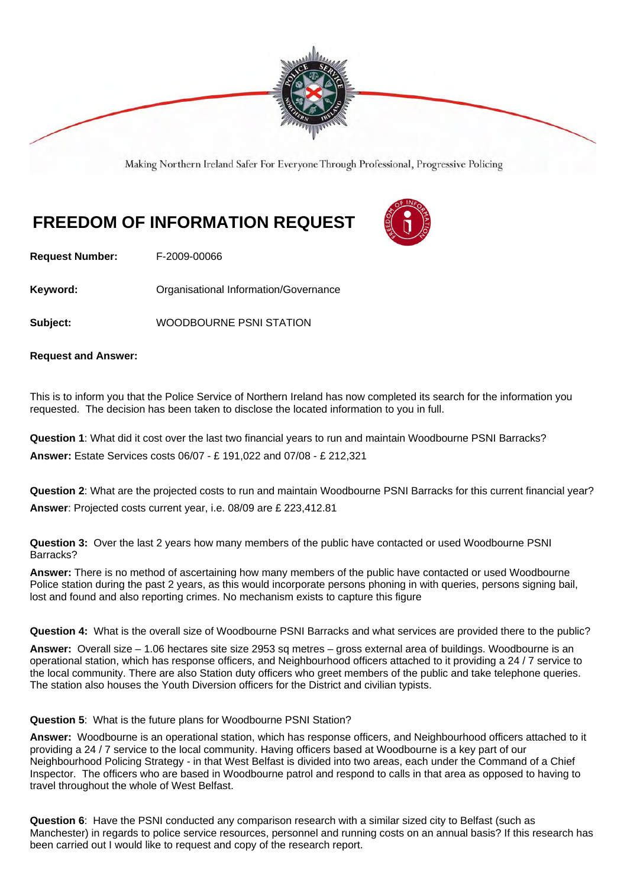

Making Northern Ireland Safer For Everyone Through Professional, Progressive Policing

## **FREEDOM OF INFORMATION REQUEST**



**Request Number:** F-2009-00066

**Keyword: Communistry Communistional Information/Governance** 

**Subject:** WOODBOURNE PSNI STATION

**Request and Answer:** 

This is to inform you that the Police Service of Northern Ireland has now completed its search for the information you requested. The decision has been taken to disclose the located information to you in full.

**Question 1**: What did it cost over the last two financial years to run and maintain Woodbourne PSNI Barracks? **Answer:** Estate Services costs 06/07 - £ 191,022 and 07/08 - £ 212,321

**Question 2**: What are the projected costs to run and maintain Woodbourne PSNI Barracks for this current financial year? **Answer**: Projected costs current year, i.e. 08/09 are £ 223,412.81

**Question 3:** Over the last 2 years how many members of the public have contacted or used Woodbourne PSNI Barracks?

**Answer:** There is no method of ascertaining how many members of the public have contacted or used Woodbourne Police station during the past 2 years, as this would incorporate persons phoning in with queries, persons signing bail, lost and found and also reporting crimes. No mechanism exists to capture this figure

**Question 4:** What is the overall size of Woodbourne PSNI Barracks and what services are provided there to the public?

**Answer:** Overall size – 1.06 hectares site size 2953 sq metres – gross external area of buildings. Woodbourne is an operational station, which has response officers, and Neighbourhood officers attached to it providing a 24 / 7 service to the local community. There are also Station duty officers who greet members of the public and take telephone queries. The station also houses the Youth Diversion officers for the District and civilian typists.

**Question 5**: What is the future plans for Woodbourne PSNI Station?

**Answer:** Woodbourne is an operational station, which has response officers, and Neighbourhood officers attached to it providing a 24 / 7 service to the local community. Having officers based at Woodbourne is a key part of our Neighbourhood Policing Strategy - in that West Belfast is divided into two areas, each under the Command of a Chief Inspector. The officers who are based in Woodbourne patrol and respond to calls in that area as opposed to having to travel throughout the whole of West Belfast.

**Question 6**: Have the PSNI conducted any comparison research with a similar sized city to Belfast (such as Manchester) in regards to police service resources, personnel and running costs on an annual basis? If this research has been carried out I would like to request and copy of the research report.